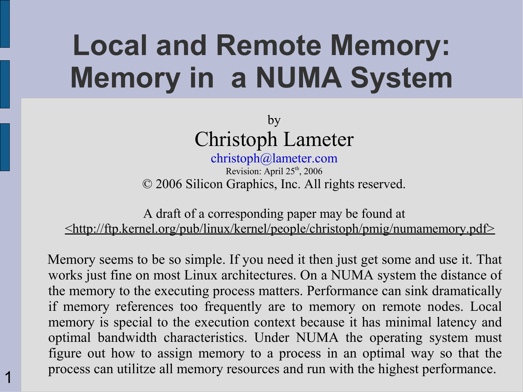#### **Local and Remote Memory: Memory in a NUMA System**

by Christoph Lameter

[christoph@lameter.com](mailto:christoph@lameter.com) Revision: April 25<sup>th</sup>, 2006 © 2006 Silicon Graphics, Inc. All rights reserved.

A draft of a corresponding paper may be found at  $\leq$ http://ftp.kernel.org/pub/linux/kernel/people/christoph/pmig/numamemory.pdf $\geq$ 

Memory seems to be so simple. If you need it then just get some and use it. That works just fine on most Linux architectures. On a NUMA system the distance of the memory to the executing process matters. Performance can sink dramatically if memory references too frequently are to memory on remote nodes. Local memory is special to the execution context because it has minimal latency and optimal bandwidth characteristics. Under NUMA the operating system must figure out how to assign memory to a process in an optimal way so that the process can utilitze all memory resources and run with the highest performance.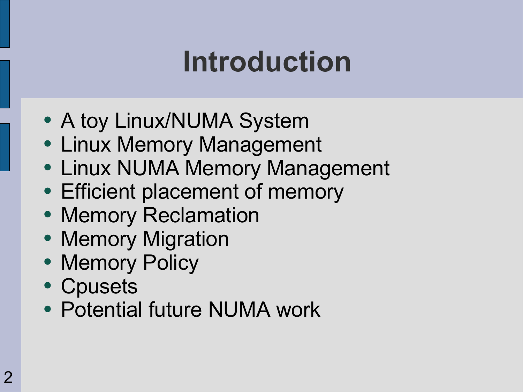#### **Introduction**

- A toy Linux/NUMA System
- Linux Memory Management
- Linux NUMA Memory Management
- Efficient placement of memory
- Memory Reclamation
- Memory Migration
- Memory Policy
- Cpusets
- Potential future NUMA work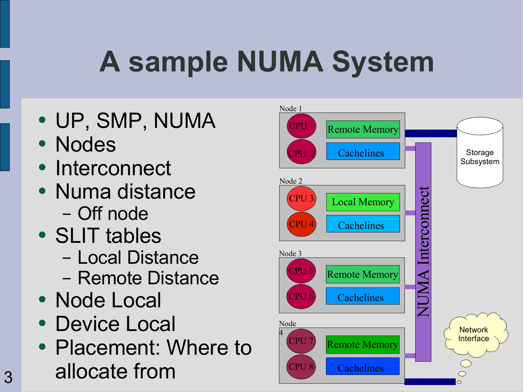# **A sample NUMA System**

- UP, SMP, NUMA
- Nodes
- Interconnect
- Numa distance – Off node
- SLIT tables
	- Local Distance
	- Remote Distance
- Node Local
- Device Local
- Placement: Where to allocate from

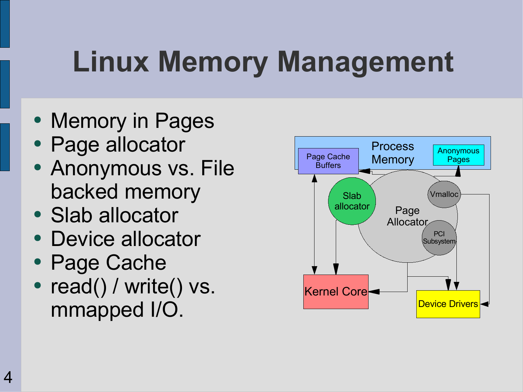# **Linux Memory Management**

- Memory in Pages
- Page allocator
- Anonymous vs. File backed memory
- Slab allocator
- Device allocator
- Page Cache
- read() / write() vs. mmapped I/O.

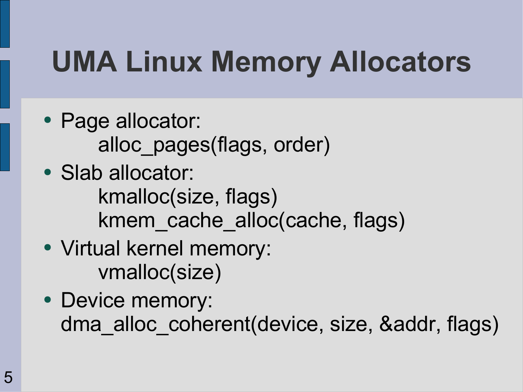# **UMA Linux Memory Allocators**

- Page allocator: alloc\_pages(flags, order)
- Slab allocator: kmalloc(size, flags) kmem cache alloc(cache, flags)
- Virtual kernel memory: vmalloc(size)
- Device memory: dma\_alloc\_coherent(device, size, &addr, flags)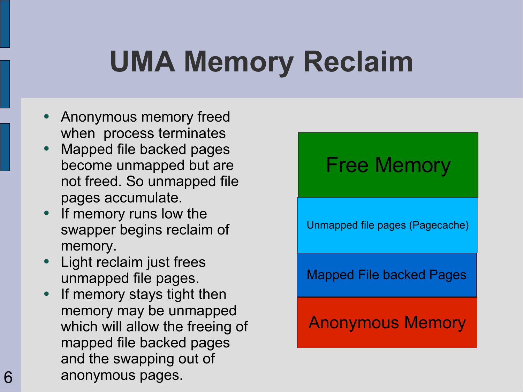# **UMA Memory Reclaim**

- Anonymous memory freed when process terminates
- Mapped file backed pages become unmapped but are not freed. So unmapped file pages accumulate.
- If memory runs low the swapper begins reclaim of memory.
- **Light reclaim just frees** unmapped file pages.
- If memory stays tight then memory may be unmapped which will allow the freeing of mapped file backed pages and the swapping out of anonymous pages.

#### Free Memory

Unmapped file pages (Pagecache)

Mapped File backed Pages

#### Anonymous Memory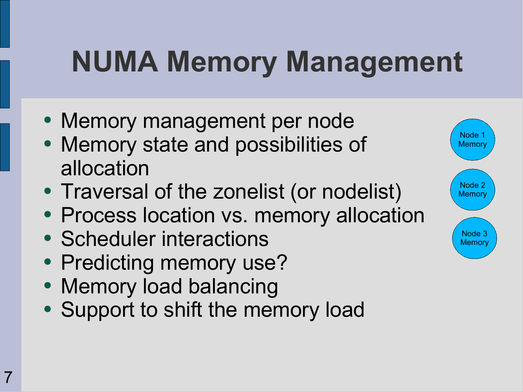#### **NUMA Memory Management**

- Memory management per node
- Memory state and possibilities of allocation
- Traversal of the zonelist (or nodelist)
- Process location vs. memory allocation
- Scheduler interactions
- Predicting memory use?
- Memory load balancing
- Support to shift the memory load

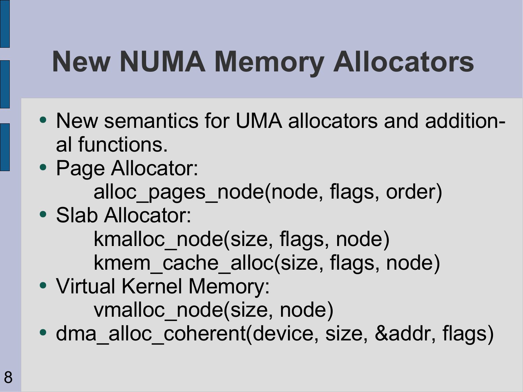# **New NUMA Memory Allocators**

- New semantics for UMA allocators and additional functions.
- Page Allocator:

alloc pages node(node, flags, order)

• Slab Allocator:

kmalloc\_node(size, flags, node) kmem cache alloc(size, flags, node)

- Virtual Kernel Memory: vmalloc\_node(size, node)
- dma alloc coherent(device, size, &addr, flags)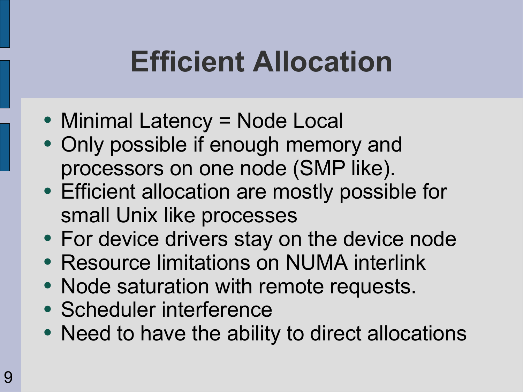#### **Efficient Allocation**

- Minimal Latency = Node Local
- Only possible if enough memory and processors on one node (SMP like).
- Efficient allocation are mostly possible for small Unix like processes
- For device drivers stay on the device node
- Resource limitations on NUMA interlink
- Node saturation with remote requests.
- Scheduler interference
- Need to have the ability to direct allocations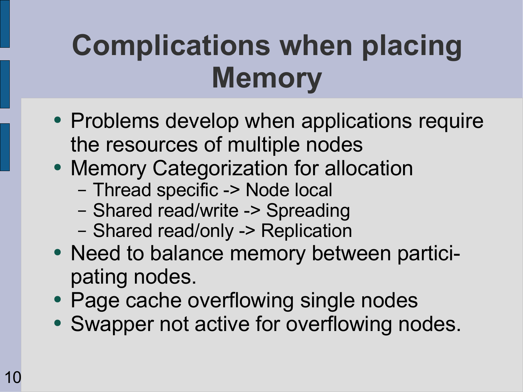# **Complications when placing Memory**

- Problems develop when applications require the resources of multiple nodes
- Memory Categorization for allocation
	- Thread specific -> Node local
	- Shared read/write -> Spreading
	- Shared read/only -> Replication
- Need to balance memory between participating nodes.
- Page cache overflowing single nodes
- Swapper not active for overflowing nodes.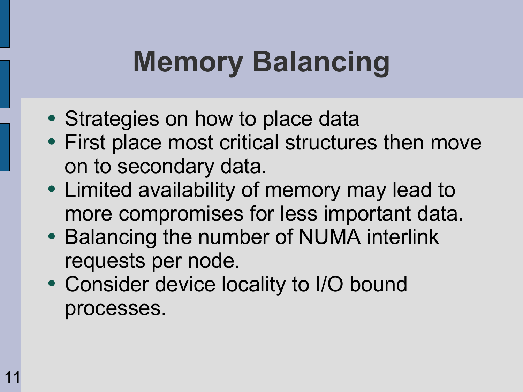# **Memory Balancing**

- Strategies on how to place data
- First place most critical structures then move on to secondary data.
- Limited availability of memory may lead to more compromises for less important data.
- Balancing the number of NUMA interlink requests per node.
- Consider device locality to I/O bound processes.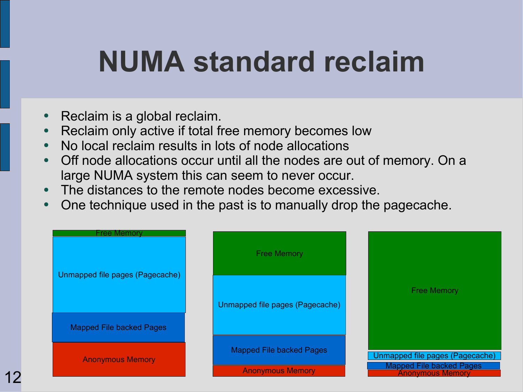#### **NUMA standard reclaim**

- Reclaim is a global reclaim.
- Reclaim only active if total free memory becomes low
- No local reclaim results in lots of node allocations
- Off node allocations occur until all the nodes are out of memory. On a large NUMA system this can seem to never occur.
- The distances to the remote nodes become excessive.
- One technique used in the past is to manually drop the pagecache.

| Free Memorv<br>Unmapped file pages (Pagecache) | <b>Free Memory</b>                                         |                                                                                               |
|------------------------------------------------|------------------------------------------------------------|-----------------------------------------------------------------------------------------------|
|                                                | Unmapped file pages (Pagecache)                            | <b>Free Memory</b>                                                                            |
| <b>Mapped File backed Pages</b>                |                                                            |                                                                                               |
| <b>Anonymous Memory</b>                        | <b>Mapped File backed Pages</b><br><b>Anonymous Memory</b> | Unmapped file pages (Pagecache)<br><b>Mapped File backed Pages</b><br><b>Anonymous Memory</b> |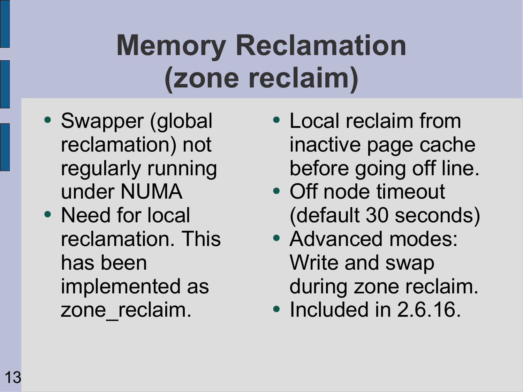# **Memory Reclamation (zone reclaim)**

- Swapper (global reclamation) not regularly running under NUMA
- Need for local reclamation. This has been implemented as zone reclaim.
- Local reclaim from inactive page cache before going off line.
- Off node timeout (default 30 seconds)
- Advanced modes: Write and swap during zone reclaim.
- Included in 2.6.16.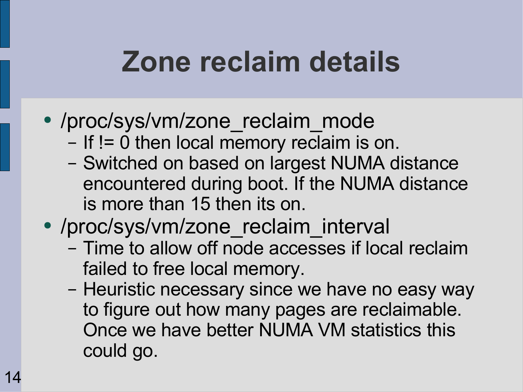#### **Zone reclaim details**

- /proc/sys/vm/zone reclaim mode
	- If != 0 then local memory reclaim is on.
	- Switched on based on largest NUMA distance encountered during boot. If the NUMA distance is more than 15 then its on.
- /proc/sys/vm/zone reclaim interval
	- Time to allow off node accesses if local reclaim failed to free local memory.
	- Heuristic necessary since we have no easy way to figure out how many pages are reclaimable. Once we have better NUMA VM statistics this could go.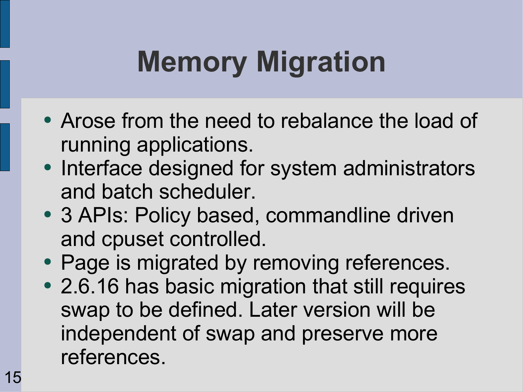# **Memory Migration**

- Arose from the need to rebalance the load of running applications.
- Interface designed for system administrators and batch scheduler.
- 3 APIs: Policy based, commandline driven and cpuset controlled.
- Page is migrated by removing references.
- 2.6.16 has basic migration that still requires swap to be defined. Later version will be independent of swap and preserve more references.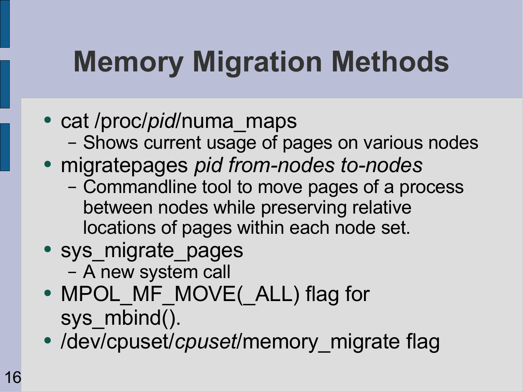# **Memory Migration Methods**

- cat /proc/*pid*/numa maps
	- Shows current usage of pages on various nodes
- migratepages *pid from-nodes to-nodes*
	- Commandline tool to move pages of a process between nodes while preserving relative locations of pages within each node set.
- sys migrate pages – A new system call
- MPOL MF MOVE( ALL) flag for sys mbind().
- /dev/cpuset/*cpuset*/memory migrate flag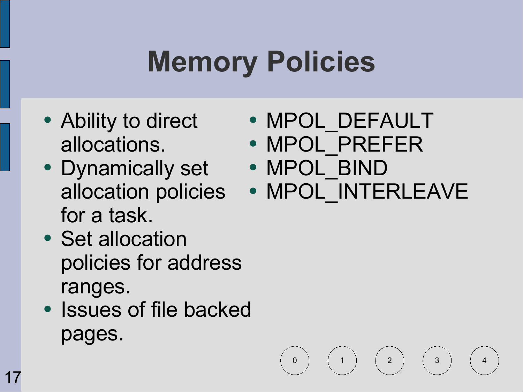# **Memory Policies**

- Ability to direct allocations.
- Dynamically set for a task.
- Set allocation policies for address ranges.
- Issues of file backed pages.
- MPOL DEFAULT
- MPOL PREFER
- MPOL BIND
- allocation policies MPOL\_INTERLEAVE

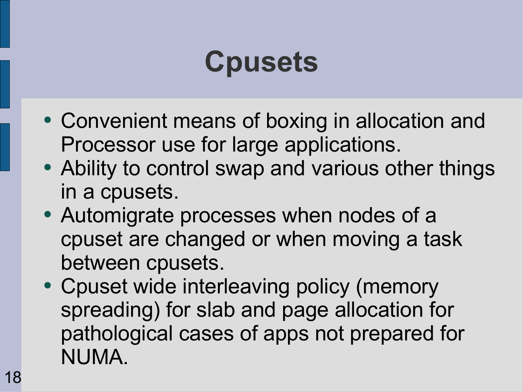#### **Cpusets**

- Convenient means of boxing in allocation and Processor use for large applications.
- Ability to control swap and various other things in a cpusets.
- Automigrate processes when nodes of a cpuset are changed or when moving a task between cpusets.
- Cpuset wide interleaving policy (memory spreading) for slab and page allocation for pathological cases of apps not prepared for NUMA.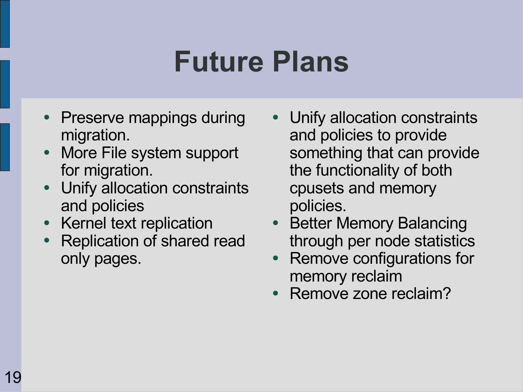#### **Future Plans**

- **Preserve mappings during** migration.
- More File system support for migration.
- Unify allocation constraints and policies
- Kernel text replication
- **Replication of shared read** only pages.
- Unify allocation constraints and policies to provide something that can provide the functionality of both cpusets and memory policies.
- Better Memory Balancing through per node statistics
- **Remove configurations for** memory reclaim
- Remove zone reclaim?